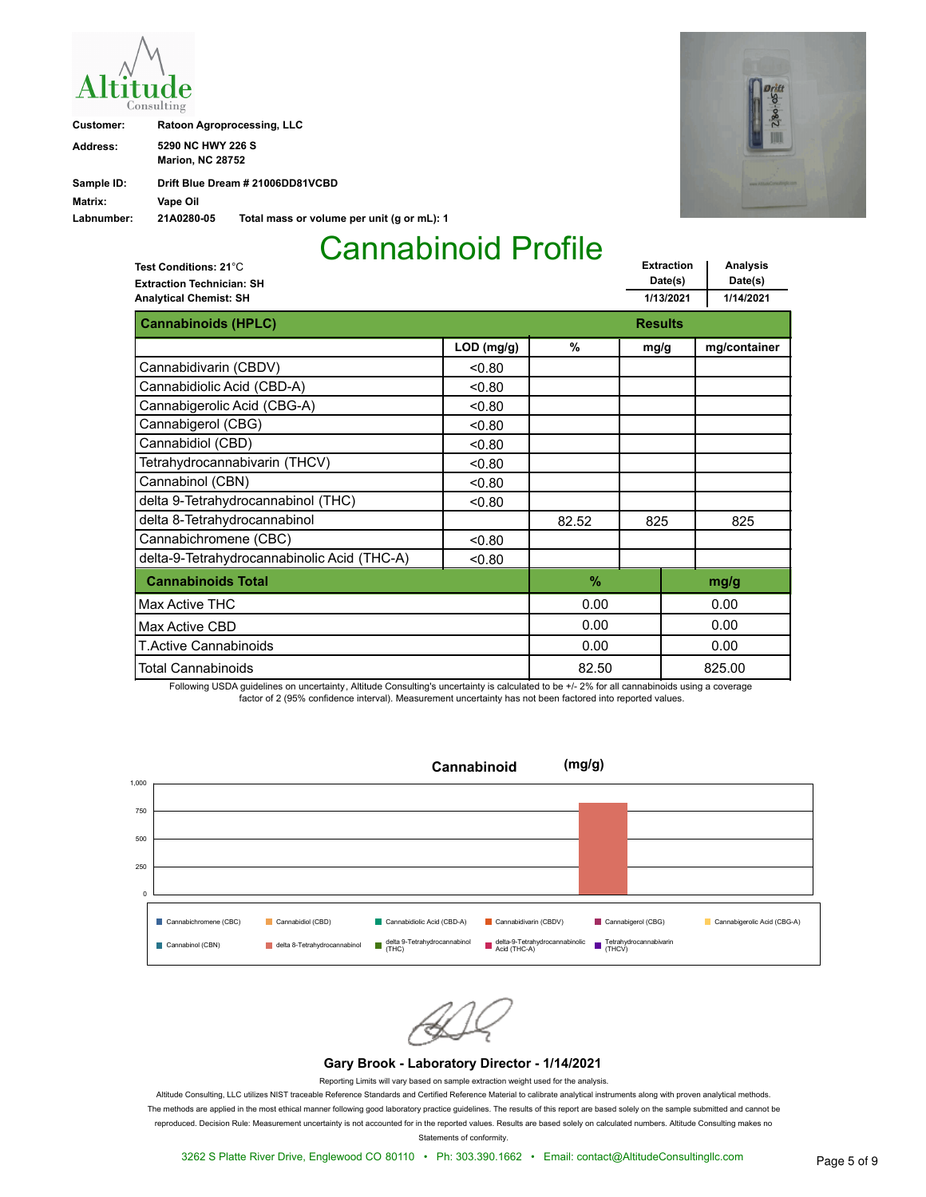| Ititude<br>onsulting |  |
|----------------------|--|

| Customer:  | <b>Ratoon Agroprocessing, LLC</b>            |                                            |  |
|------------|----------------------------------------------|--------------------------------------------|--|
| Address:   | 5290 NC HWY 226 S<br><b>Marion, NC 28752</b> |                                            |  |
| Sample ID: |                                              | Drift Blue Dream # 21006DD81VCBD           |  |
| Matrix:    | Vape Oil                                     |                                            |  |
| Labnumber: | 21A0280-05                                   | Total mass or volume per unit (g or mL): 1 |  |

| <b>itt</b><br>$3 - 05$ |  |
|------------------------|--|
| RAO                    |  |
| <b>WWW Arm</b><br>٠    |  |

**Extraction Date(s) Analysis Date(s) 1/13/2021 1/14/2021 Extraction Technician: SH Analytical Chemist: SH Test Conditions: 21**°C **Cannabinoids (HPLC) Results Results Results LOD (mg/g) % mg/g mg/container** Cannabidivarin (CBDV)  $\qquad \qquad$  <0.80 Cannabidiolic Acid (CBD-A)  $\sim$  0.80 Cannabigerolic Acid (CBG-A)  $\vert$  <0.80 Cannabigerol (CBG)  $\sim$  0.80 Cannabidiol (CBD)  $\qquad \qquad$  <0.80 Tetrahydrocannabivarin (THCV)  $\vert$  < 0.80 Cannabinol (CBN) <0.80 delta 9-Tetrahydrocannabinol (THC) <0.80 delta 8-Tetrahydrocannabinol (and the set of the set of the set of the set of the set of the set of the set of t Cannabichromene (CBC)  $\qquad \qquad$  <0.80 delta-9-Tetrahydrocannabinolic Acid (THC-A) <0.80 **Cannabinoids Total % mg/g** Total Cannabinoids T.Active Cannabinoids Max Active CBD 0.00 82.50 0.00 0.00 0.00 825.00 0.00 0.00 Max Active THC

Following USDA guidelines on uncertainty, Altitude Consulting's uncertainty is calculated to be +/- 2% for all cannabinoids using a coverage factor of 2 (95% confidence interval). Measurement uncertainty has not been factored into reported values.



#### **Gary Brook - Laboratory Director - 1/14/2021**

Reporting Limits will vary based on sample extraction weight used for the analysis.

Altitude Consulting, LLC utilizes NIST traceable Reference Standards and Certified Reference Material to calibrate analytical instruments along with proven analytical methods. The methods are applied in the most ethical manner following good laboratory practice guidelines. The results of this report are based solely on the sample submitted and cannot be reproduced. Decision Rule: Measurement uncertainty is not accounted for in the reported values. Results are based solely on calculated numbers. Altitude Consulting makes no

Statements of conformity.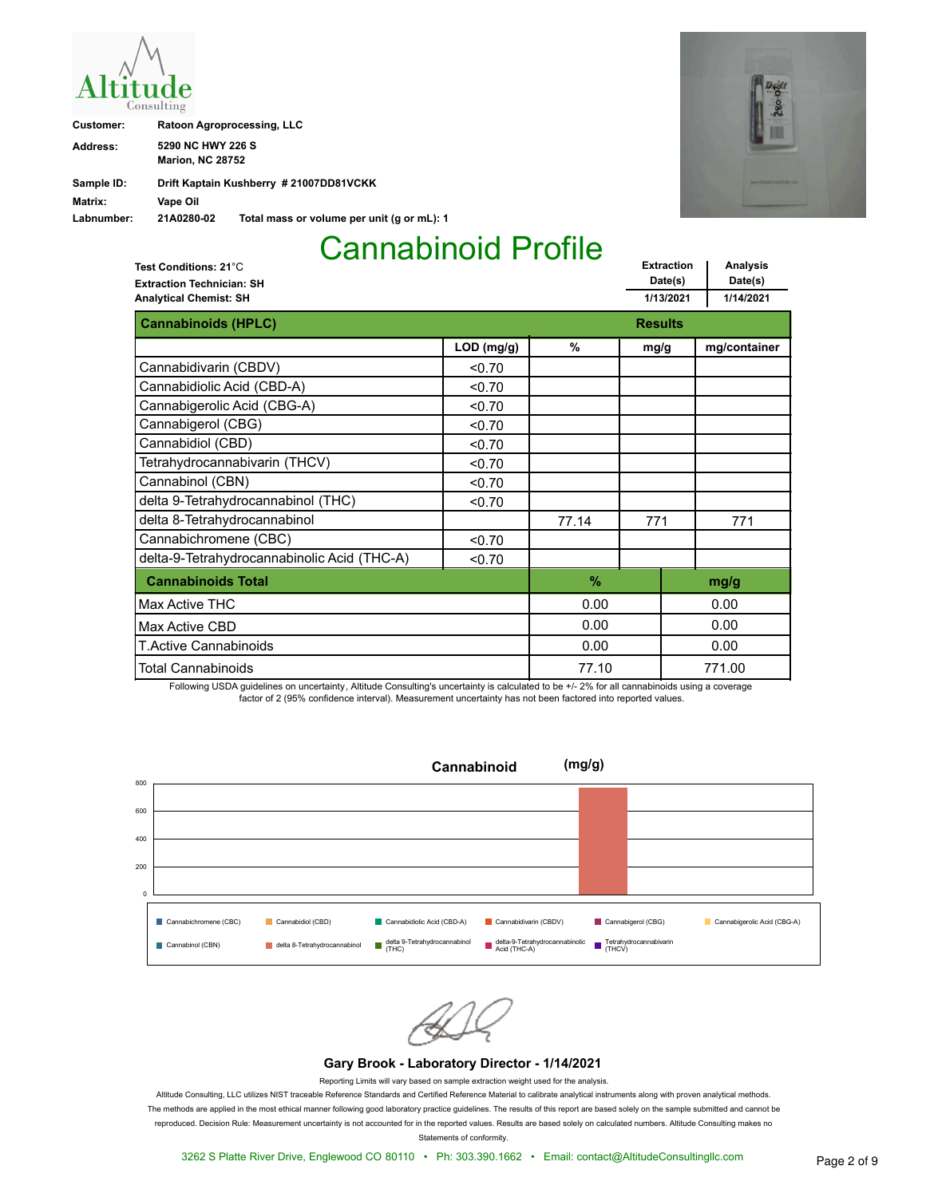

| Customer:  |                                              | <b>Ratoon Agroprocessing, LLC</b>          |
|------------|----------------------------------------------|--------------------------------------------|
| Address:   | 5290 NC HWY 226 S<br><b>Marion, NC 28752</b> |                                            |
| Sample ID: |                                              | Drift Kaptain Kushberry # 21007DD81VCKK    |
| Matrix:    | Vape Oil                                     |                                            |
| Labnumber: | 21A0280-02                                   | Total mass or volume per unit (g or mL): 1 |



**Extraction Date(s) Analysis Date(s) 1/13/2021 1/14/2021 Extraction Technician: SH Analytical Chemist: SH Test Conditions: 21**°C **Cannabinoids (HPLC) Results Results Results LOD (mg/g) % mg/g mg/container** Cannabidivarin (CBDV)  $\Big|$  <0.70 Cannabidiolic Acid (CBD-A)  $\sim$  0.70 Cannabigerolic Acid (CBG-A)  $\vert$  <0.70 Cannabigerol (CBG)  $\sim$  0.70 Cannabidiol (CBD)  $\sim$  0.70 Tetrahydrocannabivarin (THCV)  $\vert$  <0.70 Cannabinol (CBN) <0.70 delta 9-Tetrahydrocannabinol (THC) <0.70 delta 8-Tetrahydrocannabinol **1980 1980 1981 12:30 12:40 12:40 17:40 17:41 17:41** 17:71 Cannabichromene (CBC)  $\qquad \qquad$  <0.70 delta-9-Tetrahydrocannabinolic Acid (THC-A) <0.70 **Cannabinoids Total % mg/g** Total Cannabinoids T.Active Cannabinoids Max Active CBD 0.00 77.10 0.00 0.00 0.00 771.00 0.00 0.00 Max Active THC

Following USDA guidelines on uncertainty, Altitude Consulting's uncertainty is calculated to be +/- 2% for all cannabinoids using a coverage factor of 2 (95% confidence interval). Measurement uncertainty has not been factored into reported values.



#### **Gary Brook - Laboratory Director - 1/14/2021**

Reporting Limits will vary based on sample extraction weight used for the analysis.

Altitude Consulting, LLC utilizes NIST traceable Reference Standards and Certified Reference Material to calibrate analytical instruments along with proven analytical methods. The methods are applied in the most ethical manner following good laboratory practice guidelines. The results of this report are based solely on the sample submitted and cannot be reproduced. Decision Rule: Measurement uncertainty is not accounted for in the reported values. Results are based solely on calculated numbers. Altitude Consulting makes no

Statements of conformity.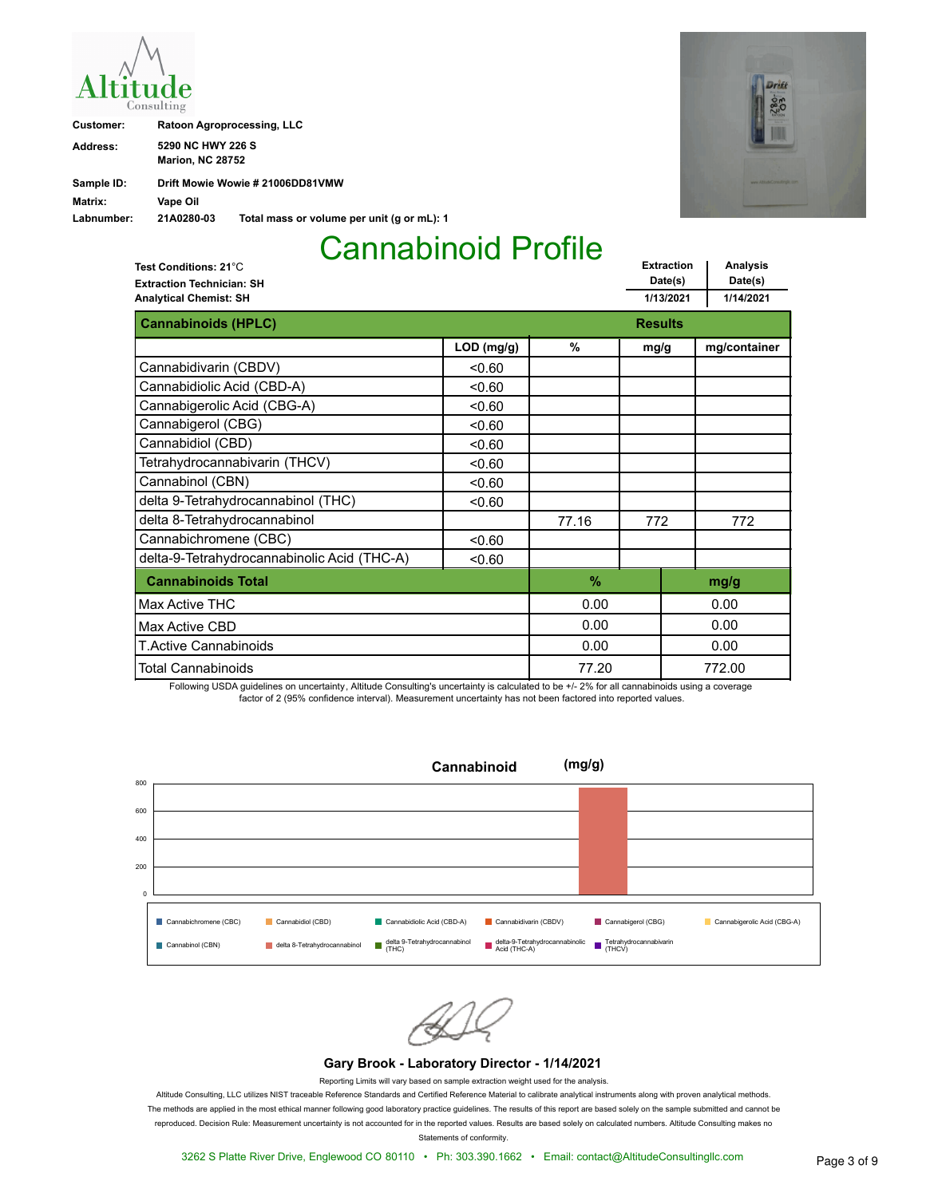| Ititude<br>onsulting |  |
|----------------------|--|

| Customer:  | Ratoon Agroprocessing, LLC                   |                                            |
|------------|----------------------------------------------|--------------------------------------------|
| Address:   | 5290 NC HWY 226 S<br><b>Marion, NC 28752</b> |                                            |
| Sample ID: |                                              | Drift Mowie Wowie # 21006DD81VMW           |
| Matrix:    | Vape Oil                                     |                                            |
| Labnumber: | 21A0280-03                                   | Total mass or volume per unit (g or mL): 1 |



**Extraction Date(s) Analysis Date(s) 1/13/2021 1/14/2021 Extraction Technician: SH Analytical Chemist: SH Test Conditions: 21**°C **Cannabinoids (HPLC) Results Results Results LOD (mg/g) % mg/g mg/container** Cannabidivarin (CBDV)  $\qquad \qquad$  <0.60 Cannabidiolic Acid (CBD-A)  $\sim$  0.60 Cannabigerolic Acid (CBG-A)  $\vert$  <0.60 Cannabigerol (CBG)  $\sim$  0.60 Cannabidiol (CBD)  $\sim$  0.60 Tetrahydrocannabivarin (THCV)  $\vert$  < 0.60 Cannabinol (CBN) <0.60 delta 9-Tetrahydrocannabinol (THC) <0.60 delta 8-Tetrahydrocannabinol **1980 1980** 127.16 **772** 772 Cannabichromene (CBC)  $\qquad \qquad$  <0.60 delta-9-Tetrahydrocannabinolic Acid (THC-A) <0.60 **Cannabinoids Total % mg/g** Total Cannabinoids T.Active Cannabinoids Max Active CBD 0.00 77.20 0.00 0.00 0.00 772.00 0.00 0.00 Max Active THC

Following USDA guidelines on uncertainty, Altitude Consulting's uncertainty is calculated to be +/- 2% for all cannabinoids using a coverage factor of 2 (95% confidence interval). Measurement uncertainty has not been factored into reported values.



#### **Gary Brook - Laboratory Director - 1/14/2021**

Reporting Limits will vary based on sample extraction weight used for the analysis.

Altitude Consulting, LLC utilizes NIST traceable Reference Standards and Certified Reference Material to calibrate analytical instruments along with proven analytical methods. The methods are applied in the most ethical manner following good laboratory practice guidelines. The results of this report are based solely on the sample submitted and cannot be reproduced. Decision Rule: Measurement uncertainty is not accounted for in the reported values. Results are based solely on calculated numbers. Altitude Consulting makes no Statements of conformity.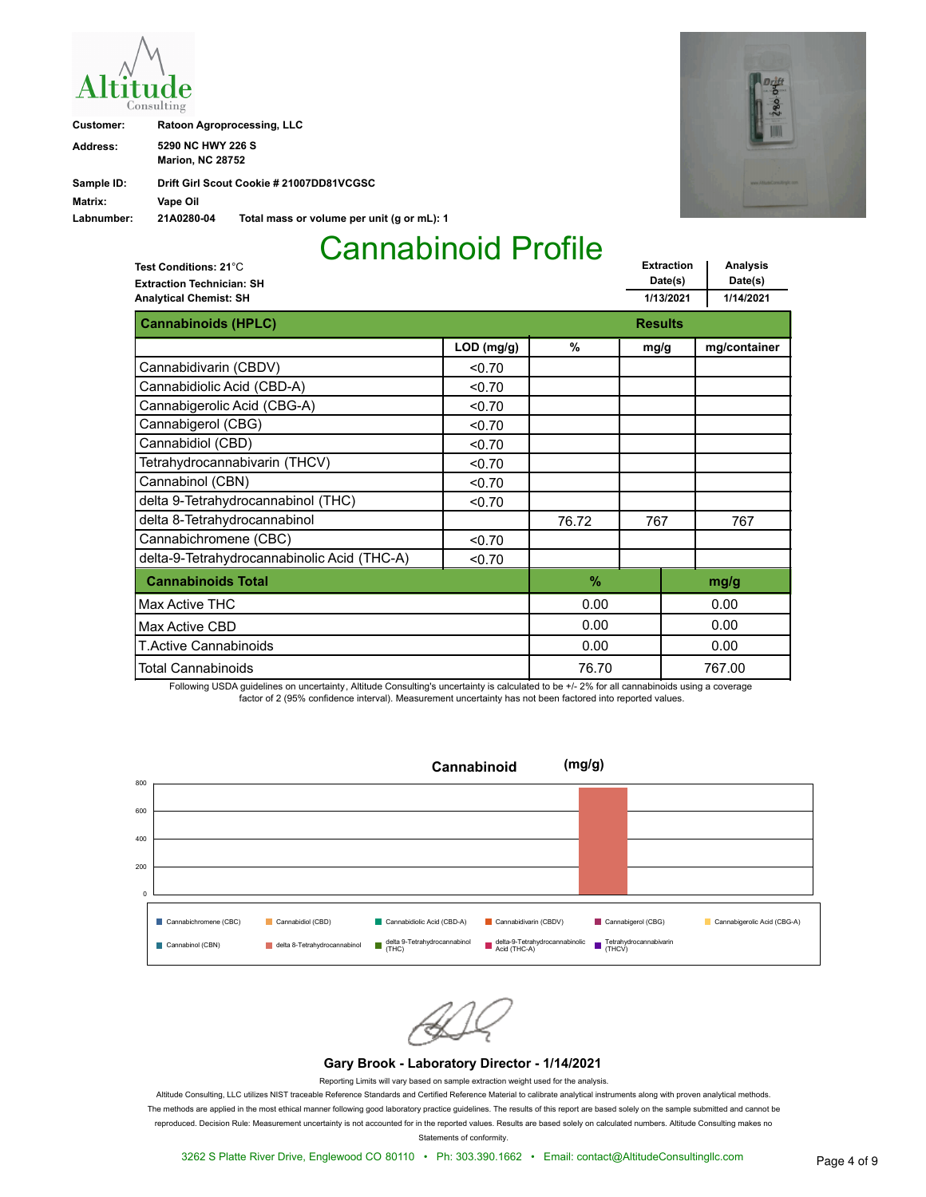

| Customer:  | <b>Ratoon Agroprocessing, LLC</b>            |                                            |
|------------|----------------------------------------------|--------------------------------------------|
| Address:   | 5290 NC HWY 226 S<br><b>Marion, NC 28752</b> |                                            |
| Sample ID: |                                              | Drift Girl Scout Cookie # 21007DD81VCGSC   |
| Matrix:    | Vape Oil                                     |                                            |
| Labnumber: | 21A0280-04                                   | Total mass or volume per unit (g or mL): 1 |



**Extraction Date(s) Analysis Date(s) 1/13/2021 1/14/2021 Extraction Technician: SH Analytical Chemist: SH Test Conditions: 21**°C **Cannabinoids (HPLC) Results Results Results LOD (mg/g) % mg/g mg/container** Cannabidivarin (CBDV)  $\Big|$  <0.70 Cannabidiolic Acid (CBD-A)  $\sim$  0.70 Cannabigerolic Acid (CBG-A)  $\vert$  <0.70 Cannabigerol (CBG)  $\sim$  0.70 Cannabidiol (CBD)  $\sim$  0.70 Tetrahydrocannabivarin (THCV)  $\vert$  <0.70 Cannabinol (CBN) <0.70 delta 9-Tetrahydrocannabinol (THC) <0.70 delta 8-Tetrahydrocannabinol 76.72 767 767 Cannabichromene (CBC)  $\qquad \qquad$  <0.70 delta-9-Tetrahydrocannabinolic Acid (THC-A) <0.70 **Cannabinoids Total % mg/g** Total Cannabinoids T.Active Cannabinoids Max Active CBD 0.00 76.70 0.00 0.00 0.00 767.00 0.00 0.00 Max Active THC

Following USDA guidelines on uncertainty, Altitude Consulting's uncertainty is calculated to be +/- 2% for all cannabinoids using a coverage factor of 2 (95% confidence interval). Measurement uncertainty has not been factored into reported values.



#### **Gary Brook - Laboratory Director - 1/14/2021**

Reporting Limits will vary based on sample extraction weight used for the analysis.

Altitude Consulting, LLC utilizes NIST traceable Reference Standards and Certified Reference Material to calibrate analytical instruments along with proven analytical methods. The methods are applied in the most ethical manner following good laboratory practice guidelines. The results of this report are based solely on the sample submitted and cannot be reproduced. Decision Rule: Measurement uncertainty is not accounted for in the reported values. Results are based solely on calculated numbers. Altitude Consulting makes no Statements of conformity.